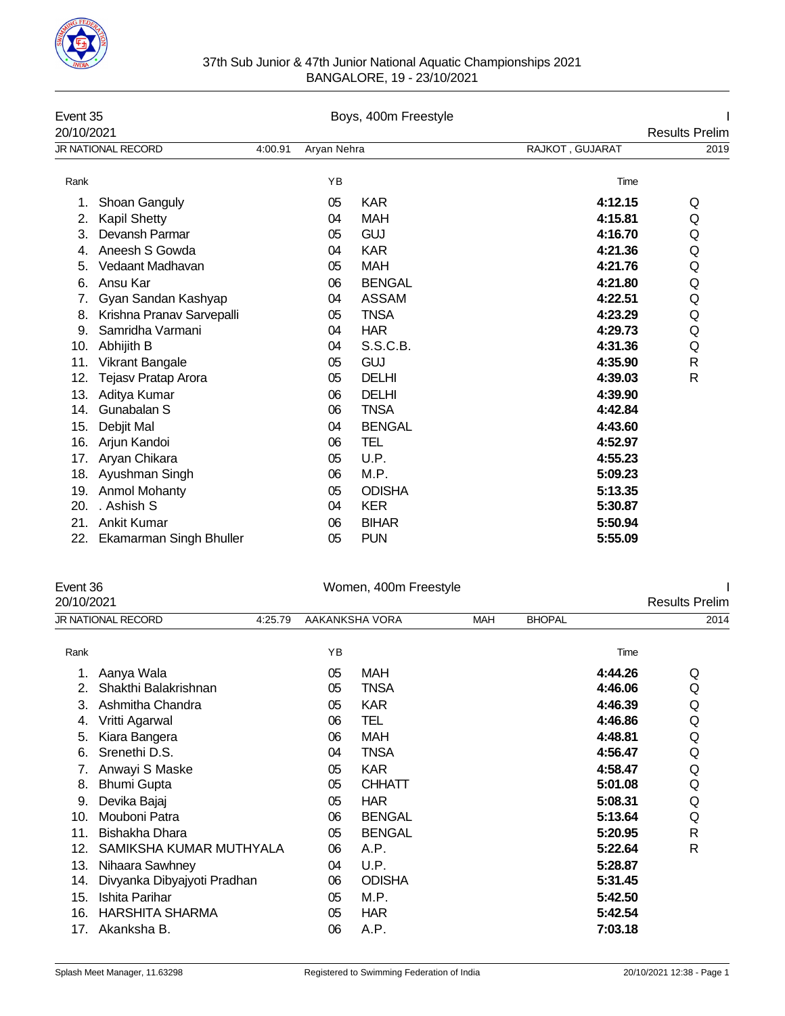

### 37th Sub Junior & 47th Junior National Aquatic Championships 2021 BANGALORE, 19 - 23/10/2021

| Event 35<br>20/10/2021 |                           | Boys, 400m Freestyle |             |               |                 | <b>Results Prelim</b> |
|------------------------|---------------------------|----------------------|-------------|---------------|-----------------|-----------------------|
|                        | <b>JR NATIONAL RECORD</b> | 4:00.91              | Aryan Nehra |               | RAJKOT, GUJARAT | 2019                  |
| Rank                   |                           |                      | YB          |               | Time            |                       |
| 1.                     | Shoan Ganguly             |                      | 05          | <b>KAR</b>    | 4:12.15         | Q                     |
| 2.                     | <b>Kapil Shetty</b>       |                      | 04          | <b>MAH</b>    | 4:15.81         | Q                     |
| 3.                     | Devansh Parmar            |                      | 05          | <b>GUJ</b>    | 4:16.70         | Q                     |
| 4.                     | Aneesh S Gowda            |                      | 04          | <b>KAR</b>    | 4:21.36         | Q                     |
| 5.                     | Vedaant Madhavan          |                      | 05          | <b>MAH</b>    | 4:21.76         | Q                     |
| 6.                     | Ansu Kar                  |                      | 06          | <b>BENGAL</b> | 4:21.80         | Q                     |
| 7.                     | Gyan Sandan Kashyap       |                      | 04          | <b>ASSAM</b>  | 4:22.51         | Q                     |
| 8.                     | Krishna Pranav Sarvepalli |                      | 05          | <b>TNSA</b>   | 4:23.29         | Q                     |
| 9.                     | Samridha Varmani          |                      | 04          | <b>HAR</b>    | 4:29.73         | Q                     |
| 10.                    | Abhijith B                |                      | 04          | S.S.C.B.      | 4:31.36         | Q                     |
| 11.                    | <b>Vikrant Bangale</b>    |                      | 05          | <b>GUJ</b>    | 4:35.90         | $\mathsf{R}$          |
| 12.                    | Tejasv Pratap Arora       |                      | 05          | <b>DELHI</b>  | 4:39.03         | R                     |
| 13.                    | Aditya Kumar              |                      | 06          | <b>DELHI</b>  | 4:39.90         |                       |
| 14.                    | Gunabalan S               |                      | 06          | <b>TNSA</b>   | 4:42.84         |                       |
| 15.                    | Debjit Mal                |                      | 04          | <b>BENGAL</b> | 4:43.60         |                       |
| 16.                    | Arjun Kandoi              |                      | 06          | TEL           | 4:52.97         |                       |
| 17.                    | Aryan Chikara             |                      | 05          | U.P.          | 4:55.23         |                       |
| 18.                    | Ayushman Singh            |                      | 06          | M.P.          | 5:09.23         |                       |
| 19.                    | Anmol Mohanty             |                      | 05          | <b>ODISHA</b> | 5:13.35         |                       |
| 20.                    | . Ashish S                |                      | 04          | <b>KER</b>    | 5:30.87         |                       |
| 21.                    | <b>Ankit Kumar</b>        |                      | 06          | <b>BIHAR</b>  | 5:50.94         |                       |
| 22.                    | Ekamarman Singh Bhuller   |                      | 05          | <b>PUN</b>    | 5:55.09         |                       |

| Event 36   |                               |    | Women, 400m Freestyle |            |               |         |                       |
|------------|-------------------------------|----|-----------------------|------------|---------------|---------|-----------------------|
| 20/10/2021 |                               |    |                       |            |               |         | <b>Results Prelim</b> |
|            | JR NATIONAL RECORD<br>4:25.79 |    | AAKANKSHA VORA        | <b>MAH</b> | <b>BHOPAL</b> |         | 2014                  |
| Rank       |                               | YB |                       |            |               | Time    |                       |
|            | Aanya Wala                    | 05 | MAH                   |            |               | 4:44.26 | Q                     |
|            | Shakthi Balakrishnan          | 05 | <b>TNSA</b>           |            |               | 4:46.06 | Q                     |
| 3.         | Ashmitha Chandra              | 05 | <b>KAR</b>            |            |               | 4:46.39 | Q                     |
| 4.         | Vritti Agarwal                | 06 | TEL                   |            |               | 4:46.86 | Q                     |
| 5.         | Kiara Bangera                 | 06 | MAH                   |            |               | 4:48.81 | Q                     |
| 6.         | Srenethi D.S.                 | 04 | <b>TNSA</b>           |            |               | 4:56.47 | Q                     |
| 7.         | Anwayi S Maske                | 05 | <b>KAR</b>            |            |               | 4:58.47 | Q                     |
| 8.         | <b>Bhumi Gupta</b>            | 05 | <b>CHHATT</b>         |            |               | 5:01.08 | Q                     |
| 9.         | Devika Bajaj                  | 05 | <b>HAR</b>            |            |               | 5:08.31 | Q                     |
| 10.        | Mouboni Patra                 | 06 | <b>BENGAL</b>         |            |               | 5:13.64 | Q                     |
| 11.        | Bishakha Dhara                | 05 | <b>BENGAL</b>         |            |               | 5:20.95 | R                     |
| 12.        | SAMIKSHA KUMAR MUTHYALA       | 06 | A.P.                  |            |               | 5:22.64 | R                     |
| 13.        | Nihaara Sawhney               | 04 | U.P.                  |            |               | 5:28.87 |                       |
| 14.        | Divyanka Dibyajyoti Pradhan   | 06 | <b>ODISHA</b>         |            |               | 5:31.45 |                       |
| 15.        | Ishita Parihar                | 05 | M.P.                  |            |               | 5:42.50 |                       |
| 16.        | <b>HARSHITA SHARMA</b>        | 05 | <b>HAR</b>            |            |               | 5:42.54 |                       |
| 17.        | Akanksha B.                   | 06 | A.P.                  |            |               | 7:03.18 |                       |
|            |                               |    |                       |            |               |         |                       |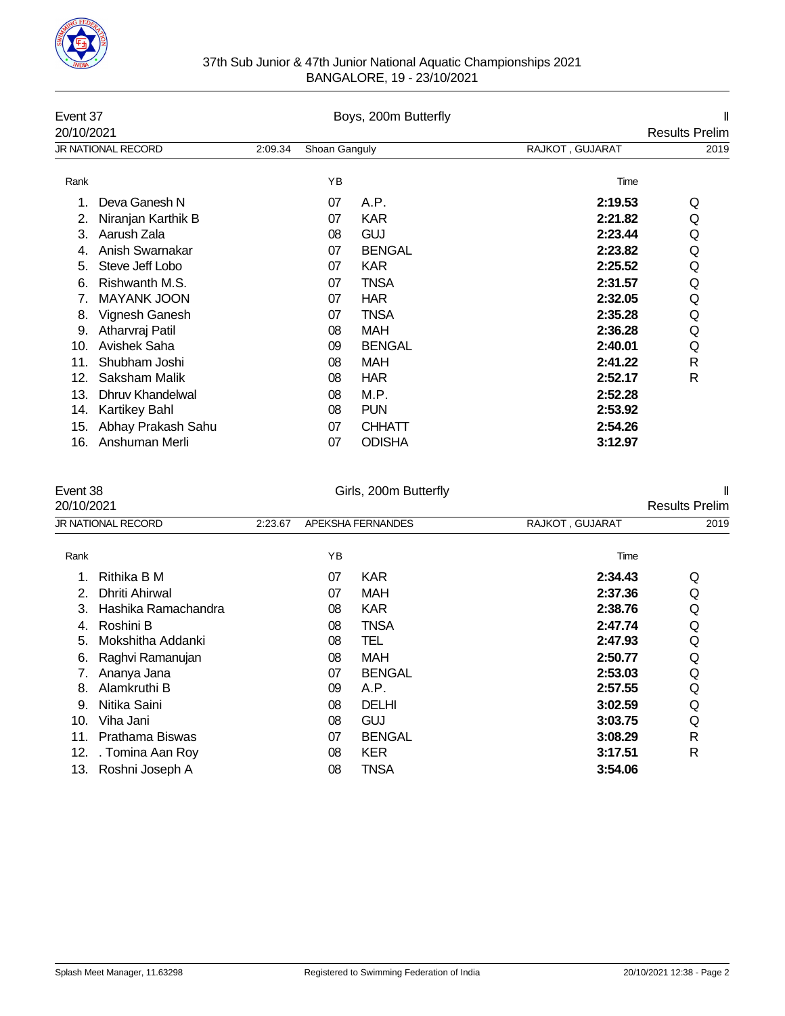

### 37th Sub Junior & 47th Junior National Aquatic Championships 2021 BANGALORE, 19 - 23/10/2021

| Event 37<br>20/10/2021 |                           |         |               | Boys, 200m Butterfly |                 | <b>Results Prelim</b> |
|------------------------|---------------------------|---------|---------------|----------------------|-----------------|-----------------------|
|                        | <b>JR NATIONAL RECORD</b> | 2:09.34 | Shoan Ganguly |                      | RAJKOT, GUJARAT | 2019                  |
| Rank                   |                           |         | YB            |                      | Time            |                       |
|                        | Deva Ganesh N             |         | 07            | A.P.                 | 2:19.53         | Q                     |
| 2.                     | Niranjan Karthik B        |         | 07            | <b>KAR</b>           | 2:21.82         | Q                     |
| 3.                     | Aarush Zala               |         | 08            | <b>GUJ</b>           | 2:23.44         | Q                     |
| 4.                     | Anish Swarnakar           |         | 07            | <b>BENGAL</b>        | 2:23.82         | Q                     |
| 5.                     | Steve Jeff Lobo           |         | 07            | <b>KAR</b>           | 2:25.52         | Q                     |
| 6.                     | Rishwanth M.S.            |         | 07            | <b>TNSA</b>          | 2:31.57         | Q                     |
| 7.                     | <b>MAYANK JOON</b>        |         | 07            | <b>HAR</b>           | 2:32.05         | Q                     |
| 8.                     | Vignesh Ganesh            |         | 07            | <b>TNSA</b>          | 2:35.28         | Q                     |
| 9.                     | Atharvraj Patil           |         | 08            | <b>MAH</b>           | 2:36.28         | Q                     |
| 10.                    | Avishek Saha              |         | 09            | <b>BENGAL</b>        | 2:40.01         | Q                     |
| 11.                    | Shubham Joshi             |         | 08            | <b>MAH</b>           | 2:41.22         | R                     |
| 12.                    | Saksham Malik             |         | 08            | <b>HAR</b>           | 2:52.17         | R                     |
| 13.                    | Dhruv Khandelwal          |         | 08            | M.P.                 | 2:52.28         |                       |
| 14.                    | <b>Kartikey Bahl</b>      |         | 08            | <b>PUN</b>           | 2:53.92         |                       |
| 15.                    | Abhay Prakash Sahu        |         | 07            | <b>CHHATT</b>        | 2:54.26         |                       |
| 16.                    | Anshuman Merli            |         | 07            | <b>ODISHA</b>        | 3:12.97         |                       |

| Event 38   |                           |         |    | Girls, 200m Butterfly |                 |                       |
|------------|---------------------------|---------|----|-----------------------|-----------------|-----------------------|
| 20/10/2021 |                           |         |    |                       |                 | <b>Results Prelim</b> |
|            | <b>JR NATIONAL RECORD</b> | 2:23.67 |    | APEKSHA FERNANDES     | RAJKOT, GUJARAT | 2019                  |
| Rank       |                           |         | ΥB |                       | Time            |                       |
|            | Rithika B M               |         | 07 | <b>KAR</b>            | 2:34.43         | Q                     |
| 2.         | Dhriti Ahirwal            |         | 07 | <b>MAH</b>            | 2:37.36         | Q                     |
| 3.         | Hashika Ramachandra       |         | 08 | <b>KAR</b>            | 2:38.76         | Q                     |
| 4.         | Roshini B                 |         | 08 | <b>TNSA</b>           | 2:47.74         | Q                     |
| 5.         | Mokshitha Addanki         |         | 08 | TEL                   | 2:47.93         | Q                     |
| 6.         | Raghvi Ramanujan          |         | 08 | MAH                   | 2:50.77         | Q                     |
|            | Ananya Jana               |         | 07 | <b>BENGAL</b>         | 2:53.03         | Q                     |
| 8.         | Alamkruthi B              |         | 09 | A.P.                  | 2:57.55         | Q                     |
| 9.         | Nitika Saini              |         | 08 | DELHI                 | 3:02.59         | Q                     |
| 10.        | Viha Jani                 |         | 08 | GUJ                   | 3:03.75         | Q                     |
| 11.        | Prathama Biswas           |         | 07 | <b>BENGAL</b>         | 3:08.29         | R                     |
| 12.        | . Tomina Aan Roy          |         | 08 | <b>KER</b>            | 3:17.51         | R                     |
| 13.        | Roshni Joseph A           |         | 08 | TNSA                  | 3:54.06         |                       |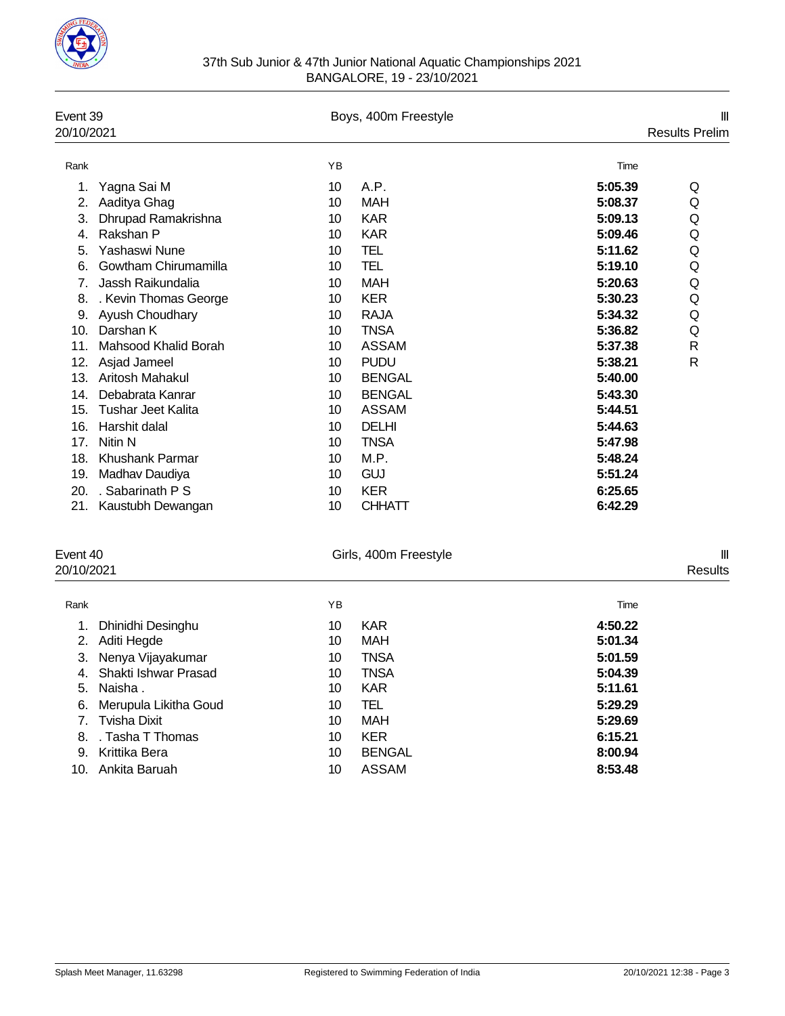

| Event 39<br>20/10/2021 |                           |    | Boys, 400m Freestyle |         | Ш<br><b>Results Prelim</b> |
|------------------------|---------------------------|----|----------------------|---------|----------------------------|
| Rank                   |                           | YB |                      | Time    |                            |
| 1.                     | Yagna Sai M               | 10 | A.P.                 | 5:05.39 | Q                          |
| 2.                     | Aaditya Ghag              | 10 | <b>MAH</b>           | 5:08.37 | Q                          |
| 3.                     | Dhrupad Ramakrishna       | 10 | <b>KAR</b>           | 5:09.13 | Q                          |
| 4.                     | Rakshan P                 | 10 | <b>KAR</b>           | 5:09.46 | Q                          |
| 5.                     | Yashaswi Nune             | 10 | TEL                  | 5:11.62 | Q                          |
| 6.                     | Gowtham Chirumamilla      | 10 | TEL                  | 5:19.10 | Q                          |
| 7.                     | Jassh Raikundalia         | 10 | <b>MAH</b>           | 5:20.63 | Q                          |
| 8.                     | . Kevin Thomas George     | 10 | <b>KER</b>           | 5:30.23 | Q                          |
| 9.                     | Ayush Choudhary           | 10 | <b>RAJA</b>          | 5:34.32 | Q                          |
| 10.                    | Darshan K                 | 10 | <b>TNSA</b>          | 5:36.82 | Q                          |
| 11.                    | Mahsood Khalid Borah      | 10 | <b>ASSAM</b>         | 5:37.38 | $\mathsf{R}$               |
| 12.                    | Asjad Jameel              | 10 | <b>PUDU</b>          | 5:38.21 | R                          |
| 13.                    | Aritosh Mahakul           | 10 | <b>BENGAL</b>        | 5:40.00 |                            |
| 14.                    | Debabrata Kanrar          | 10 | <b>BENGAL</b>        | 5:43.30 |                            |
| 15.                    | <b>Tushar Jeet Kalita</b> | 10 | <b>ASSAM</b>         | 5:44.51 |                            |
| 16.                    | Harshit dalal             | 10 | <b>DELHI</b>         | 5:44.63 |                            |
| 17.                    | Nitin N                   | 10 | <b>TNSA</b>          | 5:47.98 |                            |
| 18.                    | <b>Khushank Parmar</b>    | 10 | M.P.                 | 5:48.24 |                            |
| 19.                    | Madhav Daudiya            | 10 | <b>GUJ</b>           | 5:51.24 |                            |
| 20.                    | . Sabarinath P S          | 10 | <b>KER</b>           | 6:25.65 |                            |
| 21.                    | Kaustubh Dewangan         | 10 | <b>CHHATT</b>        | 6:42.29 |                            |
|                        |                           |    |                      |         |                            |

| Event 40<br>20/10/2021 |                       |    | Girls, 400m Freestyle |         | $\mathbf{  }$<br>Results |
|------------------------|-----------------------|----|-----------------------|---------|--------------------------|
| Rank                   |                       | YB |                       | Time    |                          |
| 1.                     | Dhinidhi Desinghu     | 10 | <b>KAR</b>            | 4:50.22 |                          |
| 2.                     | Aditi Hegde           | 10 | <b>MAH</b>            | 5:01.34 |                          |
| 3.                     | Nenya Vijayakumar     | 10 | <b>TNSA</b>           | 5:01.59 |                          |
| 4.                     | Shakti Ishwar Prasad  | 10 | <b>TNSA</b>           | 5:04.39 |                          |
| 5.                     | Naisha.               | 10 | <b>KAR</b>            | 5:11.61 |                          |
| 6.                     | Merupula Likitha Goud | 10 | TEL                   | 5:29.29 |                          |
|                        | Tvisha Dixit          | 10 | <b>MAH</b>            | 5:29.69 |                          |
| 8.                     | . Tasha T Thomas      | 10 | <b>KER</b>            | 6:15.21 |                          |
| 9.                     | Krittika Bera         | 10 | <b>BENGAL</b>         | 8:00.94 |                          |
| 10.                    | Ankita Baruah         | 10 | <b>ASSAM</b>          | 8:53.48 |                          |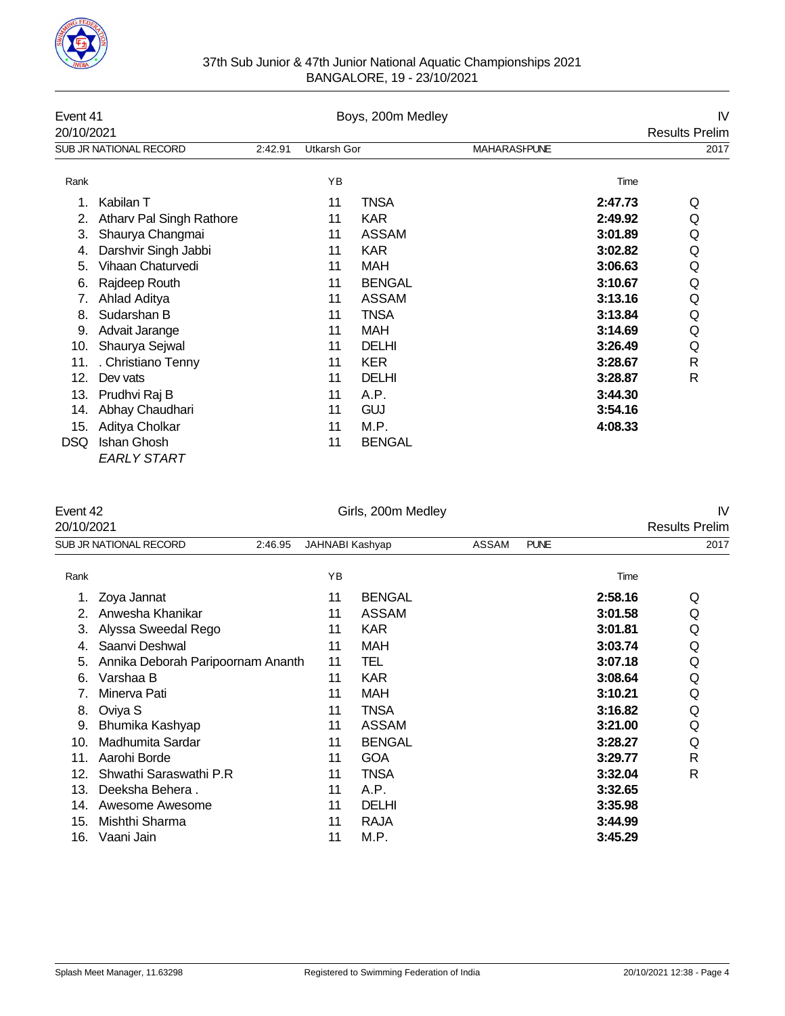

| 37th Sub Junior & 47th Junior National Aquatic Championships 2021 |
|-------------------------------------------------------------------|
| BANGALORE, 19 - 23/10/2021                                        |

| Event 41   |                          |         |             | Boys, 200m Medley |                     |         | IV                    |
|------------|--------------------------|---------|-------------|-------------------|---------------------|---------|-----------------------|
| 20/10/2021 |                          |         |             |                   |                     |         | <b>Results Prelim</b> |
|            | SUB JR NATIONAL RECORD   | 2:42.91 | Utkarsh Gor |                   | <b>MAHARASHPUNE</b> |         | 2017                  |
| Rank       |                          |         | YB          |                   |                     | Time    |                       |
|            | Kabilan T                |         | 11          | <b>TNSA</b>       |                     | 2:47.73 | Q                     |
| 2.         | Atharv Pal Singh Rathore |         | 11          | <b>KAR</b>        |                     | 2:49.92 | Q                     |
| 3.         | Shaurya Changmai         |         | 11          | <b>ASSAM</b>      |                     | 3:01.89 | Q                     |
| 4.         | Darshvir Singh Jabbi     |         | 11          | <b>KAR</b>        |                     | 3:02.82 | Q                     |
| 5.         | Vihaan Chaturvedi        |         | 11          | <b>MAH</b>        |                     | 3:06.63 | Q                     |
| 6.         | Rajdeep Routh            |         | 11          | <b>BENGAL</b>     |                     | 3:10.67 | Q                     |
|            | Ahlad Aditya             |         | 11          | <b>ASSAM</b>      |                     | 3:13.16 | Q                     |
| 8.         | Sudarshan B              |         | 11          | <b>TNSA</b>       |                     | 3:13.84 | Q                     |
| 9.         | Advait Jarange           |         | 11          | <b>MAH</b>        |                     | 3:14.69 | Q                     |
| 10.        | Shaurya Sejwal           |         | 11          | <b>DELHI</b>      |                     | 3:26.49 | Q                     |
| 11.        | . Christiano Tenny       |         | 11          | <b>KER</b>        |                     | 3:28.67 | R                     |
| 12.        | Dev vats                 |         | 11          | <b>DELHI</b>      |                     | 3:28.87 | R                     |
| 13.        | Prudhvi Raj B            |         | 11          | A.P.              |                     | 3:44.30 |                       |
| 14.        | Abhay Chaudhari          |         | 11          | <b>GUJ</b>        |                     | 3:54.16 |                       |
| 15.        | Aditya Cholkar           |         | 11          | M.P.              |                     | 4:08.33 |                       |
| DSQ        | Ishan Ghosh              |         | 11          | <b>BENGAL</b>     |                     |         |                       |
|            | <b>EARLY START</b>       |         |             |                   |                     |         |                       |

# Event 42 **IV**<br>
Girls, 200m Medley<br>
20/10/2021 **Results Prelim**

| 20/10/2021 |                                   |                 |               |              |             |         | <b>Results Prelim</b> |
|------------|-----------------------------------|-----------------|---------------|--------------|-------------|---------|-----------------------|
|            | SUB JR NATIONAL RECORD<br>2:46.95 | JAHNABI Kashyap |               | <b>ASSAM</b> | <b>PUNE</b> |         | 2017                  |
| Rank       |                                   | YB              |               |              |             | Time    |                       |
|            | Zoya Jannat                       | 11              | <b>BENGAL</b> |              |             | 2:58.16 | Q                     |
| 2.         | Anwesha Khanikar                  | 11              | <b>ASSAM</b>  |              |             | 3:01.58 | Q                     |
| 3.         | Alyssa Sweedal Rego               | 11              | <b>KAR</b>    |              |             | 3:01.81 | Q                     |
| 4.         | Saanvi Deshwal                    | 11              | <b>MAH</b>    |              |             | 3:03.74 | Q                     |
| 5.         | Annika Deborah Paripoornam Ananth | 11              | TEL           |              |             | 3:07.18 | Q                     |
| 6.         | Varshaa B                         | 11              | <b>KAR</b>    |              |             | 3:08.64 | Q                     |
| 7.         | Minerva Pati                      | 11              | MAH           |              |             | 3:10.21 | Q                     |
| 8.         | Oviya S                           | 11              | <b>TNSA</b>   |              |             | 3:16.82 | Q                     |
| 9.         | Bhumika Kashyap                   | 11              | <b>ASSAM</b>  |              |             | 3:21.00 | Q                     |
| 10.        | Madhumita Sardar                  | 11              | <b>BENGAL</b> |              |             | 3:28.27 | Q                     |
| 11.        | Aarohi Borde                      | 11              | <b>GOA</b>    |              |             | 3:29.77 | R                     |
| 12.        | Shwathi Saraswathi P.R            | 11              | <b>TNSA</b>   |              |             | 3:32.04 | R                     |
| 13.        | Deeksha Behera.                   | 11              | A.P.          |              |             | 3:32.65 |                       |
| 14.        | Awesome Awesome                   | 11              | DELHI         |              |             | 3:35.98 |                       |
| 15.        | Mishthi Sharma                    | 11              | <b>RAJA</b>   |              |             | 3:44.99 |                       |
| 16.        | Vaani Jain                        | 11              | M.P.          |              |             | 3:45.29 |                       |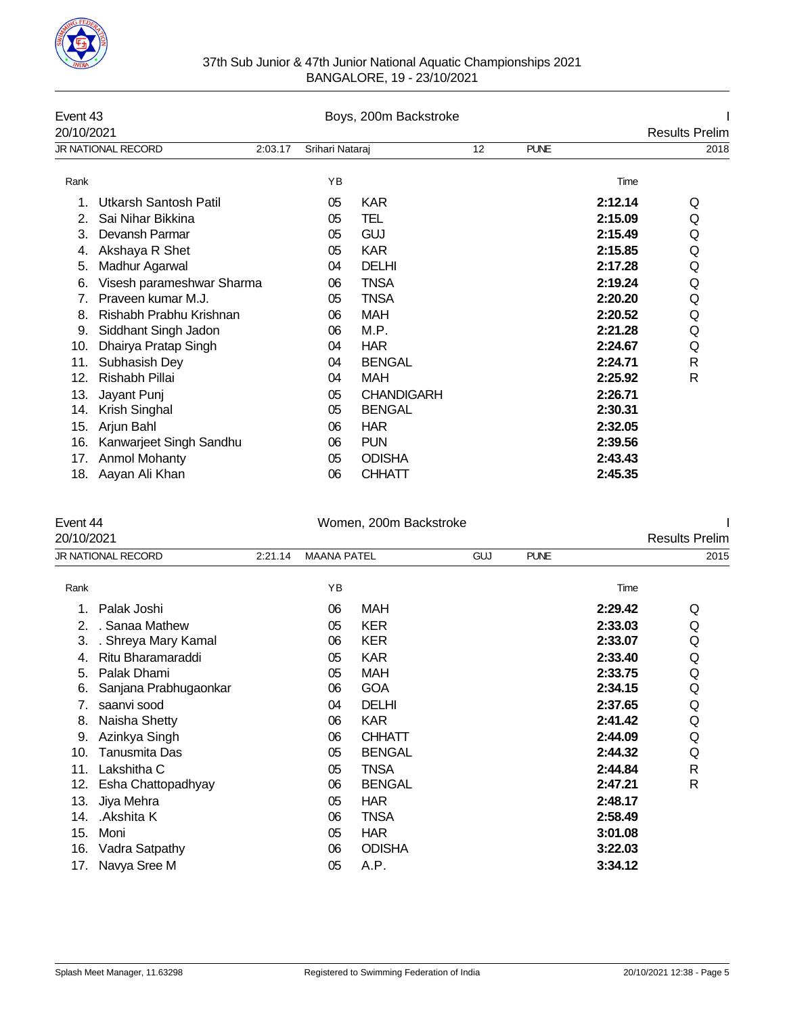

| 37th Sub Junior & 47th Junior National Aquatic Championships 2021 |
|-------------------------------------------------------------------|
| BANGALORE, 19 - 23/10/2021                                        |

| Event 43   |                              |         |                 | Boys, 200m Backstroke |                   |             |         |                       |
|------------|------------------------------|---------|-----------------|-----------------------|-------------------|-------------|---------|-----------------------|
| 20/10/2021 |                              |         |                 |                       |                   |             |         | <b>Results Prelim</b> |
|            | <b>JR NATIONAL RECORD</b>    | 2:03.17 | Srihari Nataraj |                       | $12 \overline{ }$ | <b>PUNE</b> |         | 2018                  |
| Rank       |                              |         | YB              |                       |                   |             | Time    |                       |
|            | <b>Utkarsh Santosh Patil</b> |         | 05              | <b>KAR</b>            |                   |             | 2:12.14 | Q                     |
| 2.         | Sai Nihar Bikkina            |         | 05              | TEL                   |                   |             | 2:15.09 | Q                     |
| 3.         | Devansh Parmar               |         | 05              | <b>GUJ</b>            |                   |             | 2:15.49 | Q                     |
| 4.         | Akshaya R Shet               |         | 05              | <b>KAR</b>            |                   |             | 2:15.85 | Q                     |
| 5.         | Madhur Agarwal               |         | 04              | <b>DELHI</b>          |                   |             | 2:17.28 | Q                     |
| 6.         | Visesh parameshwar Sharma    |         | 06              | TNSA                  |                   |             | 2:19.24 | Q                     |
| 7.         | Praveen kumar M.J.           |         | 05              | TNSA                  |                   |             | 2:20.20 | Q                     |
| 8.         | Rishabh Prabhu Krishnan      |         | 06              | MAH                   |                   |             | 2:20.52 | Q                     |
| 9.         | Siddhant Singh Jadon         |         | 06              | M.P.                  |                   |             | 2:21.28 | Q                     |
| 10.        | Dhairya Pratap Singh         |         | 04              | <b>HAR</b>            |                   |             | 2:24.67 | Q                     |
| 11.        | Subhasish Dey                |         | 04              | <b>BENGAL</b>         |                   |             | 2:24.71 | R                     |
| 12.        | Rishabh Pillai               |         | 04              | MAH                   |                   |             | 2:25.92 | R                     |
| 13.        | Jayant Punj                  |         | 05              | <b>CHANDIGARH</b>     |                   |             | 2:26.71 |                       |
| 14.        | Krish Singhal                |         | 05              | <b>BENGAL</b>         |                   |             | 2:30.31 |                       |
| 15.        | Arjun Bahl                   |         | 06              | <b>HAR</b>            |                   |             | 2:32.05 |                       |
| 16.        | Kanwarjeet Singh Sandhu      |         | 06              | <b>PUN</b>            |                   |             | 2:39.56 |                       |
| 17.        | Anmol Mohanty                |         | 05              | <b>ODISHA</b>         |                   |             | 2:43.43 |                       |
| 18.        | Aayan Ali Khan               |         | 06              | <b>CHHATT</b>         |                   |             | 2:45.35 |                       |

## Event 44 <br>
Women, 200m Backstroke I Bossite Profilm

| 20/10/2021 |                       |         |                    |               |            |             |         | <b>Results Prelim</b> |
|------------|-----------------------|---------|--------------------|---------------|------------|-------------|---------|-----------------------|
|            | JR NATIONAL RECORD    | 2:21.14 | <b>MAANA PATEL</b> |               | <b>GUJ</b> | <b>PUNE</b> |         | 2015                  |
| Rank       |                       |         | YB                 |               |            |             | Time    |                       |
|            | Palak Joshi           |         | 06                 | MAH           |            |             | 2:29.42 | Q                     |
|            | . Sanaa Mathew        |         | 05                 | <b>KER</b>    |            |             | 2:33.03 | Q                     |
| 3.         | . Shreya Mary Kamal   |         | 06                 | <b>KER</b>    |            |             | 2:33.07 | Q                     |
| 4.         | Ritu Bharamaraddi     |         | 05                 | <b>KAR</b>    |            |             | 2:33.40 | Q                     |
| 5.         | Palak Dhami           |         | 05                 | <b>MAH</b>    |            |             | 2:33.75 | Q                     |
| 6.         | Sanjana Prabhugaonkar |         | 06                 | <b>GOA</b>    |            |             | 2:34.15 | Q                     |
| 7.         | saanvi sood           |         | 04                 | <b>DELHI</b>  |            |             | 2:37.65 | Q                     |
| 8.         | Naisha Shetty         |         | 06                 | <b>KAR</b>    |            |             | 2:41.42 | Q                     |
| 9.         | Azinkya Singh         |         | 06                 | <b>CHHATT</b> |            |             | 2:44.09 | Q                     |
| 10.        | Tanusmita Das         |         | 05                 | <b>BENGAL</b> |            |             | 2:44.32 | Q                     |
| 11.        | Lakshitha C           |         | 05                 | <b>TNSA</b>   |            |             | 2:44.84 | R                     |
| 12.        | Esha Chattopadhyay    |         | 06                 | <b>BENGAL</b> |            |             | 2:47.21 | R                     |
| 13.        | Jiya Mehra            |         | 05                 | <b>HAR</b>    |            |             | 2:48.17 |                       |
| 14.        | .Akshita K            |         | 06                 | <b>TNSA</b>   |            |             | 2:58.49 |                       |
| 15.        | Moni                  |         | 05                 | <b>HAR</b>    |            |             | 3:01.08 |                       |
| 16.        | Vadra Satpathy        |         | 06                 | <b>ODISHA</b> |            |             | 3:22.03 |                       |
|            | 17. Navya Sree M      |         | 05                 | A.P.          |            |             | 3:34.12 |                       |
|            |                       |         |                    |               |            |             |         |                       |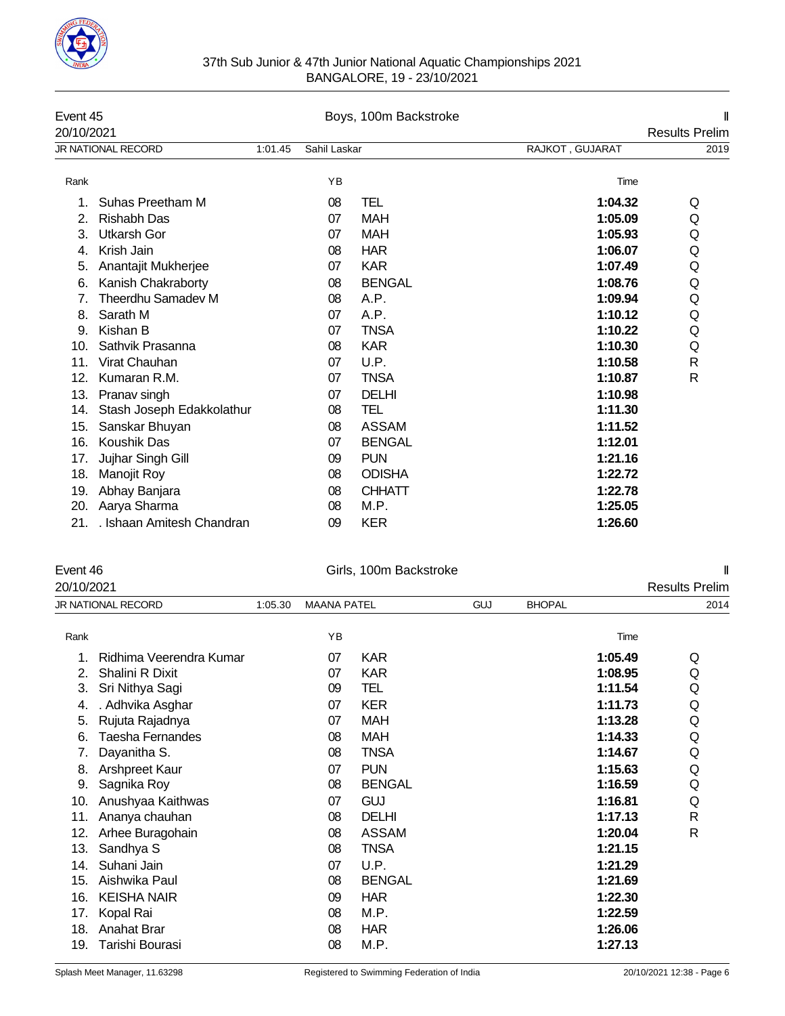

| 37th Sub Junior & 47th Junior National Aquatic Championships 2021 |
|-------------------------------------------------------------------|
| BANGALORE, 19 - 23/10/2021                                        |

| Event 45<br>20/10/2021 |                           |         |              | Boys, 100m Backstroke |                 | <b>Results Prelim</b> |
|------------------------|---------------------------|---------|--------------|-----------------------|-----------------|-----------------------|
|                        | <b>JR NATIONAL RECORD</b> | 1:01.45 | Sahil Laskar |                       | RAJKOT, GUJARAT | 2019                  |
| Rank                   |                           |         | YB           |                       | Time            |                       |
|                        | Suhas Preetham M          |         | 08           | TEL                   | 1:04.32         | Q                     |
| 2.                     | <b>Rishabh Das</b>        |         | 07           | <b>MAH</b>            | 1:05.09         | Q                     |
| 3.                     | <b>Utkarsh Gor</b>        |         | 07           | <b>MAH</b>            | 1:05.93         | Q                     |
| 4.                     | Krish Jain                |         | 08           | <b>HAR</b>            | 1:06.07         | Q                     |
| 5.                     | Anantajit Mukherjee       |         | 07           | <b>KAR</b>            | 1:07.49         | Q                     |
| 6.                     | Kanish Chakraborty        |         | 08           | <b>BENGAL</b>         | 1:08.76         | Q                     |
| 7.                     | Theerdhu Samadev M        |         | 08           | A.P.                  | 1:09.94         | Q                     |
| 8.                     | Sarath M                  |         | 07           | A.P.                  | 1:10.12         | Q                     |
| 9.                     | Kishan B                  |         | 07           | <b>TNSA</b>           | 1:10.22         | Q                     |
| 10.                    | Sathvik Prasanna          |         | 08           | <b>KAR</b>            | 1:10.30         | Q                     |
| 11.                    | Virat Chauhan             |         | 07           | U.P.                  | 1:10.58         | R                     |
| 12.                    | Kumaran R.M.              |         | 07           | <b>TNSA</b>           | 1:10.87         | $\mathsf{R}$          |
| 13.                    | Pranav singh              |         | 07           | <b>DELHI</b>          | 1:10.98         |                       |
| 14.                    | Stash Joseph Edakkolathur |         | 08           | TEL                   | 1:11.30         |                       |
| 15.                    | Sanskar Bhuyan            |         | 08           | <b>ASSAM</b>          | 1:11.52         |                       |
| 16.                    | Koushik Das               |         | 07           | <b>BENGAL</b>         | 1:12.01         |                       |
| 17.                    | Jujhar Singh Gill         |         | 09           | <b>PUN</b>            | 1:21.16         |                       |
| 18.                    | Manojit Roy               |         | 08           | <b>ODISHA</b>         | 1:22.72         |                       |
| 19.                    | Abhay Banjara             |         | 08           | <b>CHHATT</b>         | 1:22.78         |                       |
| 20.                    | Aarya Sharma              |         | 08           | M.P.                  | 1:25.05         |                       |
| 21.                    | . Ishaan Amitesh Chandran |         | 09           | <b>KER</b>            | 1:26.60         |                       |

| Event 46   |                         |         |                    | Girls, 100m Backstroke |            |               |         | I                     |
|------------|-------------------------|---------|--------------------|------------------------|------------|---------------|---------|-----------------------|
| 20/10/2021 |                         |         |                    |                        |            |               |         | <b>Results Prelim</b> |
|            | JR NATIONAL RECORD      | 1:05.30 | <b>MAANA PATEL</b> |                        | <b>GUJ</b> | <b>BHOPAL</b> |         | 2014                  |
| Rank       |                         |         | YB                 |                        |            |               | Time    |                       |
| 1.         | Ridhima Veerendra Kumar |         | 07                 | <b>KAR</b>             |            |               | 1:05.49 | Q                     |
| 2.         | Shalini R Dixit         |         | 07                 | <b>KAR</b>             |            |               | 1:08.95 | Q                     |
| 3.         | Sri Nithya Sagi         |         | 09                 | TEL                    |            |               | 1:11.54 | Q                     |
| 4.         | . Adhvika Asghar        |         | 07                 | <b>KER</b>             |            |               | 1:11.73 | Q                     |
| 5.         | Rujuta Rajadnya         |         | 07                 | <b>MAH</b>             |            |               | 1:13.28 | Q                     |
| 6.         | Taesha Fernandes        |         | 08                 | MAH                    |            |               | 1:14.33 | Q                     |
| 7.         | Dayanitha S.            |         | 08                 | <b>TNSA</b>            |            |               | 1:14.67 | Q                     |
| 8.         | Arshpreet Kaur          |         | 07                 | <b>PUN</b>             |            |               | 1:15.63 | Q                     |
| 9.         | Sagnika Roy             |         | 08                 | <b>BENGAL</b>          |            |               | 1:16.59 | Q                     |
| 10.        | Anushyaa Kaithwas       |         | 07                 | <b>GUJ</b>             |            |               | 1:16.81 | Q                     |
| 11.        | Ananya chauhan          |         | 08                 | <b>DELHI</b>           |            |               | 1:17.13 | $\mathsf{R}$          |
| 12.        | Arhee Buragohain        |         | 08                 | <b>ASSAM</b>           |            |               | 1:20.04 | $\mathsf{R}$          |
| 13.        | Sandhya S               |         | 08                 | <b>TNSA</b>            |            |               | 1:21.15 |                       |
| 14.        | Suhani Jain             |         | 07                 | U.P.                   |            |               | 1:21.29 |                       |
| 15.        | Aishwika Paul           |         | 08                 | <b>BENGAL</b>          |            |               | 1:21.69 |                       |
| 16.        | <b>KEISHA NAIR</b>      |         | 09                 | <b>HAR</b>             |            |               | 1:22.30 |                       |
| 17.        | Kopal Rai               |         | 08                 | M.P.                   |            |               | 1:22.59 |                       |
| 18.        | <b>Anahat Brar</b>      |         | 08                 | <b>HAR</b>             |            |               | 1:26.06 |                       |
| 19.        | Tarishi Bourasi         |         | 08                 | M.P.                   |            |               | 1:27.13 |                       |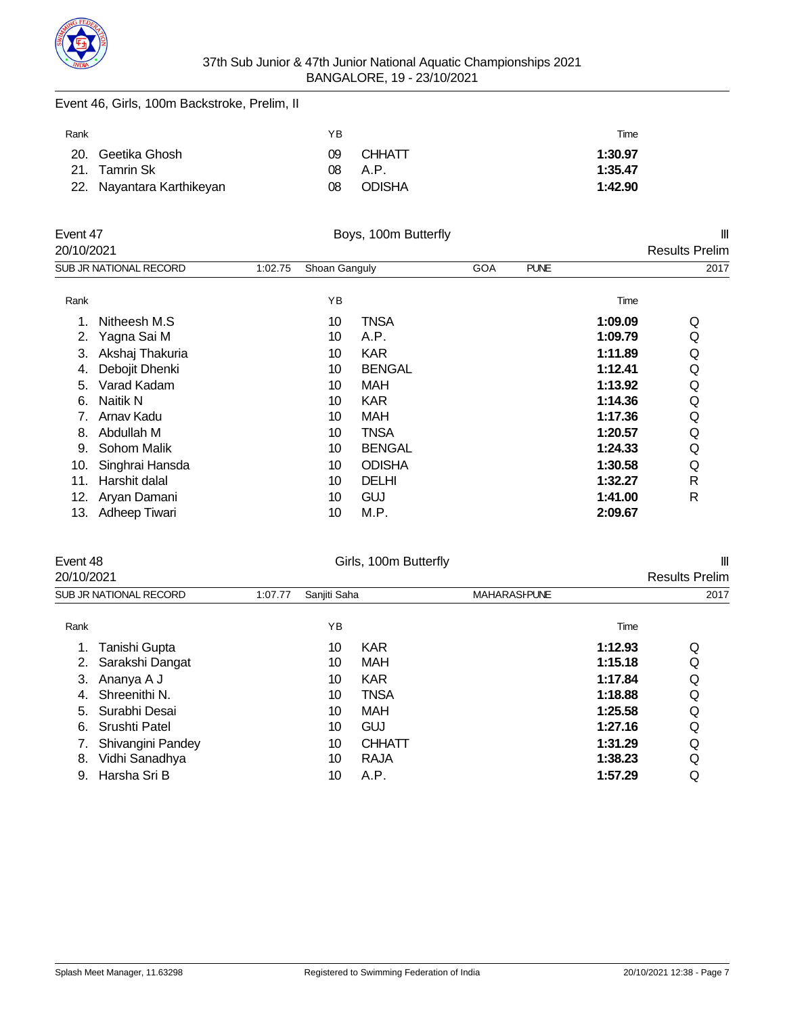

### Event 46, Girls, 100m Backstroke, Prelim, II

| Rank |                           | YΒ  |               | Time    |
|------|---------------------------|-----|---------------|---------|
|      | 20. Geetika Ghosh         | 09  | <b>CHHATT</b> | 1:30.97 |
|      | 21. Tamrin Sk             | 08. | A.P.          | 1:35.47 |
|      | 22. Nayantara Karthikeyan | 08  | <b>ODISHA</b> | 1:42.90 |

|            | Event 47<br>Boys, 100m Butterfly |         |               |               |            | $\mathbf{  }$ |         |                       |
|------------|----------------------------------|---------|---------------|---------------|------------|---------------|---------|-----------------------|
| 20/10/2021 |                                  |         |               |               |            |               |         | <b>Results Prelim</b> |
|            | SUB JR NATIONAL RECORD           | 1:02.75 | Shoan Ganguly |               | <b>GOA</b> | <b>PUNE</b>   |         | 2017                  |
| Rank       |                                  |         | ΥB            |               |            |               | Time    |                       |
| 1.         | Nitheesh M.S.                    |         | 10            | <b>TNSA</b>   |            |               | 1:09.09 | Q                     |
| 2.         | Yagna Sai M                      |         | 10            | A.P.          |            |               | 1:09.79 | Q                     |
| 3.         | Akshaj Thakuria                  |         | 10            | <b>KAR</b>    |            |               | 1:11.89 | Q                     |
| 4.         | Debojit Dhenki                   |         | 10            | <b>BENGAL</b> |            |               | 1:12.41 | Q                     |
| 5.         | Varad Kadam                      |         | 10            | MAH           |            |               | 1:13.92 | Q                     |
| 6.         | Naitik N                         |         | 10            | <b>KAR</b>    |            |               | 1:14.36 | Q                     |
| 7.         | Arnav Kadu                       |         | 10            | MAH           |            |               | 1:17.36 | Q                     |
| 8.         | Abdullah M                       |         | 10            | <b>TNSA</b>   |            |               | 1:20.57 | Q                     |
| 9.         | Sohom Malik                      |         | 10            | <b>BENGAL</b> |            |               | 1:24.33 | Q                     |
| 10.        | Singhrai Hansda                  |         | 10            | <b>ODISHA</b> |            |               | 1:30.58 | Q                     |
| 11.        | Harshit dalal                    |         | 10            | <b>DELHI</b>  |            |               | 1:32.27 | R                     |
| 12.        | Aryan Damani                     |         | 10            | <b>GUJ</b>    |            |               | 1:41.00 | R                     |
| 13.        | Adheep Tiwari                    |         | 10            | M.P.          |            |               | 2:09.67 |                       |

| Event 48   |                        |         |              | Girls, 100m Butterfly |                     |         | $\mathbf{  }$         |  |
|------------|------------------------|---------|--------------|-----------------------|---------------------|---------|-----------------------|--|
| 20/10/2021 |                        |         |              |                       |                     |         | <b>Results Prelim</b> |  |
|            | SUB JR NATIONAL RECORD | 1:07.77 | Sanjiti Saha |                       | <b>MAHARASHPUNE</b> |         | 2017                  |  |
| Rank       |                        |         | ΥB           |                       |                     | Time    |                       |  |
|            | Tanishi Gupta          |         | 10           | <b>KAR</b>            |                     | 1:12.93 | Q                     |  |
| 2.         | Sarakshi Dangat        |         | 10           | <b>MAH</b>            |                     | 1:15.18 | Q                     |  |
|            | Ananya A J             |         | 10           | <b>KAR</b>            |                     | 1:17.84 | Q                     |  |
| 4.         | Shreenithi N.          |         | 10           | TNSA                  |                     | 1:18.88 | Q                     |  |
| 5.         | Surabhi Desai          |         | 10           | <b>MAH</b>            |                     | 1:25.58 | Q                     |  |
| 6.         | Srushti Patel          |         | 10           | GUJ                   |                     | 1:27.16 | Q                     |  |
|            | Shivangini Pandey      |         | 10           | <b>CHHATT</b>         |                     | 1:31.29 | Q                     |  |

8. Vidhi Sanadhya 10 RAJA **1:38.23** Q 9. Harsha Sri B 10 A.P. **1:57.29** Q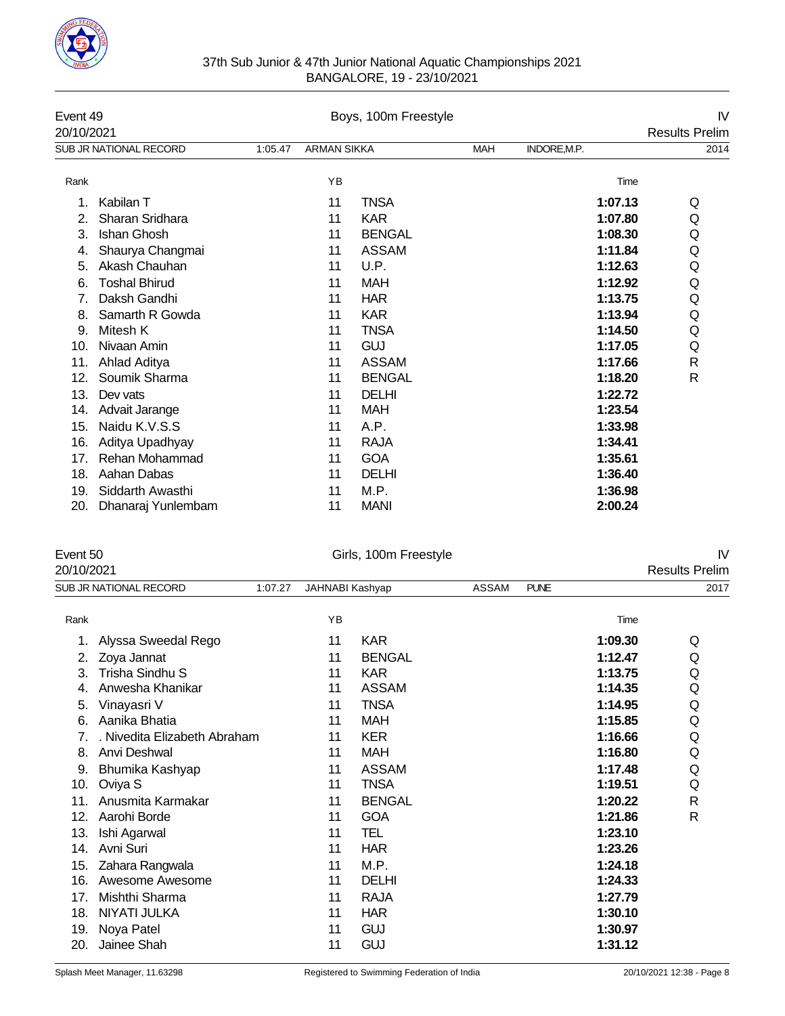

| 37th Sub Junior & 47th Junior National Aquatic Championships 2021 |
|-------------------------------------------------------------------|
| BANGALORE, 19 - 23/10/2021                                        |

| 20/10/2021<br>SUB JR NATIONAL RECORD<br>INDORE, M.P.<br>1:05.47<br><b>ARMAN SIKKA</b><br><b>MAH</b><br>YB<br>Rank<br>Time<br><b>TNSA</b><br>1:07.13<br>Kabilan T<br>11<br><b>KAR</b><br>Sharan Sridhara<br>1:07.80<br>11<br>2.<br>Ishan Ghosh<br><b>BENGAL</b><br>3.<br>1:08.30<br>11<br>Shaurya Changmai<br><b>ASSAM</b><br>1:11.84<br>11<br>4.<br>Akash Chauhan<br>U.P.<br>1:12.63<br>5.<br>11<br><b>Toshal Bhirud</b><br><b>MAH</b><br>1:12.92<br>11<br>6.<br>Daksh Gandhi<br><b>HAR</b><br>1:13.75<br>11<br><b>KAR</b><br>1:13.94<br>Samarth R Gowda<br>11<br>8.<br><b>TNSA</b><br>1:14.50<br>9.<br>Mitesh K<br>11<br><b>GUJ</b><br>Nivaan Amin<br>1:17.05<br>10.<br>11<br>Ahlad Aditya<br><b>ASSAM</b><br>1:17.66<br>11.<br>11<br>Soumik Sharma<br><b>BENGAL</b><br>12.<br>1:18.20<br>11<br><b>DELHI</b><br>1:22.72<br>13.<br>11<br>Dev vats<br>1:23.54<br>Advait Jarange<br>11<br><b>MAH</b><br>14.<br>Naidu K.V.S.S<br>A.P.<br>15.<br>1:33.98<br>11<br><b>RAJA</b><br>16.<br>Aditya Upadhyay<br>1:34.41<br>11<br>Rehan Mohammad<br><b>GOA</b><br>1:35.61<br>17.<br>11<br>Aahan Dabas<br><b>DELHI</b><br>1:36.40<br>18.<br>11<br>Siddarth Awasthi<br>M.P.<br>1:36.98<br>19.<br>11 | Event 49 |  | Boys, 100m Freestyle |  | IV                    |
|-----------------------------------------------------------------------------------------------------------------------------------------------------------------------------------------------------------------------------------------------------------------------------------------------------------------------------------------------------------------------------------------------------------------------------------------------------------------------------------------------------------------------------------------------------------------------------------------------------------------------------------------------------------------------------------------------------------------------------------------------------------------------------------------------------------------------------------------------------------------------------------------------------------------------------------------------------------------------------------------------------------------------------------------------------------------------------------------------------------------------------------------------------------------------------------------|----------|--|----------------------|--|-----------------------|
|                                                                                                                                                                                                                                                                                                                                                                                                                                                                                                                                                                                                                                                                                                                                                                                                                                                                                                                                                                                                                                                                                                                                                                                         |          |  |                      |  | <b>Results Prelim</b> |
|                                                                                                                                                                                                                                                                                                                                                                                                                                                                                                                                                                                                                                                                                                                                                                                                                                                                                                                                                                                                                                                                                                                                                                                         |          |  |                      |  | 2014                  |
|                                                                                                                                                                                                                                                                                                                                                                                                                                                                                                                                                                                                                                                                                                                                                                                                                                                                                                                                                                                                                                                                                                                                                                                         |          |  |                      |  |                       |
|                                                                                                                                                                                                                                                                                                                                                                                                                                                                                                                                                                                                                                                                                                                                                                                                                                                                                                                                                                                                                                                                                                                                                                                         |          |  |                      |  | Q                     |
|                                                                                                                                                                                                                                                                                                                                                                                                                                                                                                                                                                                                                                                                                                                                                                                                                                                                                                                                                                                                                                                                                                                                                                                         |          |  |                      |  | Q                     |
|                                                                                                                                                                                                                                                                                                                                                                                                                                                                                                                                                                                                                                                                                                                                                                                                                                                                                                                                                                                                                                                                                                                                                                                         |          |  |                      |  | Q                     |
|                                                                                                                                                                                                                                                                                                                                                                                                                                                                                                                                                                                                                                                                                                                                                                                                                                                                                                                                                                                                                                                                                                                                                                                         |          |  |                      |  | Q                     |
|                                                                                                                                                                                                                                                                                                                                                                                                                                                                                                                                                                                                                                                                                                                                                                                                                                                                                                                                                                                                                                                                                                                                                                                         |          |  |                      |  | Q                     |
|                                                                                                                                                                                                                                                                                                                                                                                                                                                                                                                                                                                                                                                                                                                                                                                                                                                                                                                                                                                                                                                                                                                                                                                         |          |  |                      |  | Q                     |
|                                                                                                                                                                                                                                                                                                                                                                                                                                                                                                                                                                                                                                                                                                                                                                                                                                                                                                                                                                                                                                                                                                                                                                                         |          |  |                      |  | Q                     |
|                                                                                                                                                                                                                                                                                                                                                                                                                                                                                                                                                                                                                                                                                                                                                                                                                                                                                                                                                                                                                                                                                                                                                                                         |          |  |                      |  | Q                     |
|                                                                                                                                                                                                                                                                                                                                                                                                                                                                                                                                                                                                                                                                                                                                                                                                                                                                                                                                                                                                                                                                                                                                                                                         |          |  |                      |  | Q                     |
|                                                                                                                                                                                                                                                                                                                                                                                                                                                                                                                                                                                                                                                                                                                                                                                                                                                                                                                                                                                                                                                                                                                                                                                         |          |  |                      |  | Q                     |
|                                                                                                                                                                                                                                                                                                                                                                                                                                                                                                                                                                                                                                                                                                                                                                                                                                                                                                                                                                                                                                                                                                                                                                                         |          |  |                      |  | $\mathsf{R}$          |
|                                                                                                                                                                                                                                                                                                                                                                                                                                                                                                                                                                                                                                                                                                                                                                                                                                                                                                                                                                                                                                                                                                                                                                                         |          |  |                      |  | $\mathsf{R}$          |
|                                                                                                                                                                                                                                                                                                                                                                                                                                                                                                                                                                                                                                                                                                                                                                                                                                                                                                                                                                                                                                                                                                                                                                                         |          |  |                      |  |                       |
|                                                                                                                                                                                                                                                                                                                                                                                                                                                                                                                                                                                                                                                                                                                                                                                                                                                                                                                                                                                                                                                                                                                                                                                         |          |  |                      |  |                       |
|                                                                                                                                                                                                                                                                                                                                                                                                                                                                                                                                                                                                                                                                                                                                                                                                                                                                                                                                                                                                                                                                                                                                                                                         |          |  |                      |  |                       |
|                                                                                                                                                                                                                                                                                                                                                                                                                                                                                                                                                                                                                                                                                                                                                                                                                                                                                                                                                                                                                                                                                                                                                                                         |          |  |                      |  |                       |
|                                                                                                                                                                                                                                                                                                                                                                                                                                                                                                                                                                                                                                                                                                                                                                                                                                                                                                                                                                                                                                                                                                                                                                                         |          |  |                      |  |                       |
|                                                                                                                                                                                                                                                                                                                                                                                                                                                                                                                                                                                                                                                                                                                                                                                                                                                                                                                                                                                                                                                                                                                                                                                         |          |  |                      |  |                       |
|                                                                                                                                                                                                                                                                                                                                                                                                                                                                                                                                                                                                                                                                                                                                                                                                                                                                                                                                                                                                                                                                                                                                                                                         |          |  |                      |  |                       |
| 2:00.24<br><b>MANI</b><br>20.<br>Dhanaraj Yunlembam<br>11                                                                                                                                                                                                                                                                                                                                                                                                                                                                                                                                                                                                                                                                                                                                                                                                                                                                                                                                                                                                                                                                                                                               |          |  |                      |  |                       |

| Event 50 | Girls, 100m Freestyle |  |
|----------|-----------------------|--|
|          |                       |  |

| 20/10/2021 |                              |         |                 |               |              |             |         | <b>Results Prelim</b> |
|------------|------------------------------|---------|-----------------|---------------|--------------|-------------|---------|-----------------------|
|            | SUB JR NATIONAL RECORD       | 1:07.27 | JAHNABI Kashyap |               | <b>ASSAM</b> | <b>PUNE</b> |         | 2017                  |
| Rank       |                              |         | YB              |               |              |             | Time    |                       |
| 1.         | Alyssa Sweedal Rego          |         | 11              | <b>KAR</b>    |              |             | 1:09.30 | Q                     |
| 2.         | Zoya Jannat                  |         | 11              | <b>BENGAL</b> |              |             | 1:12.47 | Q                     |
| 3.         | Trisha Sindhu S              |         | 11              | <b>KAR</b>    |              |             | 1:13.75 | Q                     |
| 4.         | Anwesha Khanikar             |         | 11              | <b>ASSAM</b>  |              |             | 1:14.35 | Q                     |
| 5.         | Vinayasri V                  |         | 11              | <b>TNSA</b>   |              |             | 1:14.95 | Q                     |
| 6.         | Aanika Bhatia                |         | 11              | <b>MAH</b>    |              |             | 1:15.85 | Q                     |
| 7.         | . Nivedita Elizabeth Abraham |         | 11              | <b>KER</b>    |              |             | 1:16.66 | Q                     |
| 8.         | Anvi Deshwal                 |         | 11              | <b>MAH</b>    |              |             | 1:16.80 | Q                     |
| 9.         | Bhumika Kashyap              |         | 11              | <b>ASSAM</b>  |              |             | 1:17.48 | Q                     |
| 10.        | Oviya S                      |         | 11              | <b>TNSA</b>   |              |             | 1:19.51 | Q                     |
| 11.        | Anusmita Karmakar            |         | 11              | <b>BENGAL</b> |              |             | 1:20.22 | $\mathsf{R}$          |
| 12.        | Aarohi Borde                 |         | 11              | <b>GOA</b>    |              |             | 1:21.86 | $\mathsf{R}$          |
| 13.        | Ishi Agarwal                 |         | 11              | TEL           |              |             | 1:23.10 |                       |
| 14.        | Avni Suri                    |         | 11              | <b>HAR</b>    |              |             | 1:23.26 |                       |
| 15.        | Zahara Rangwala              |         | 11              | M.P.          |              |             | 1:24.18 |                       |
| 16.        | Awesome Awesome              |         | 11              | <b>DELHI</b>  |              |             | 1:24.33 |                       |
| 17.        | Mishthi Sharma               |         | 11              | RAJA          |              |             | 1:27.79 |                       |
| 18.        | NIYATI JULKA                 |         | 11              | <b>HAR</b>    |              |             | 1:30.10 |                       |
| 19.        | Noya Patel                   |         | 11              | <b>GUJ</b>    |              |             | 1:30.97 |                       |
| 20.        | Jainee Shah                  |         | 11              | <b>GUJ</b>    |              |             | 1:31.12 |                       |
|            |                              |         |                 |               |              |             |         |                       |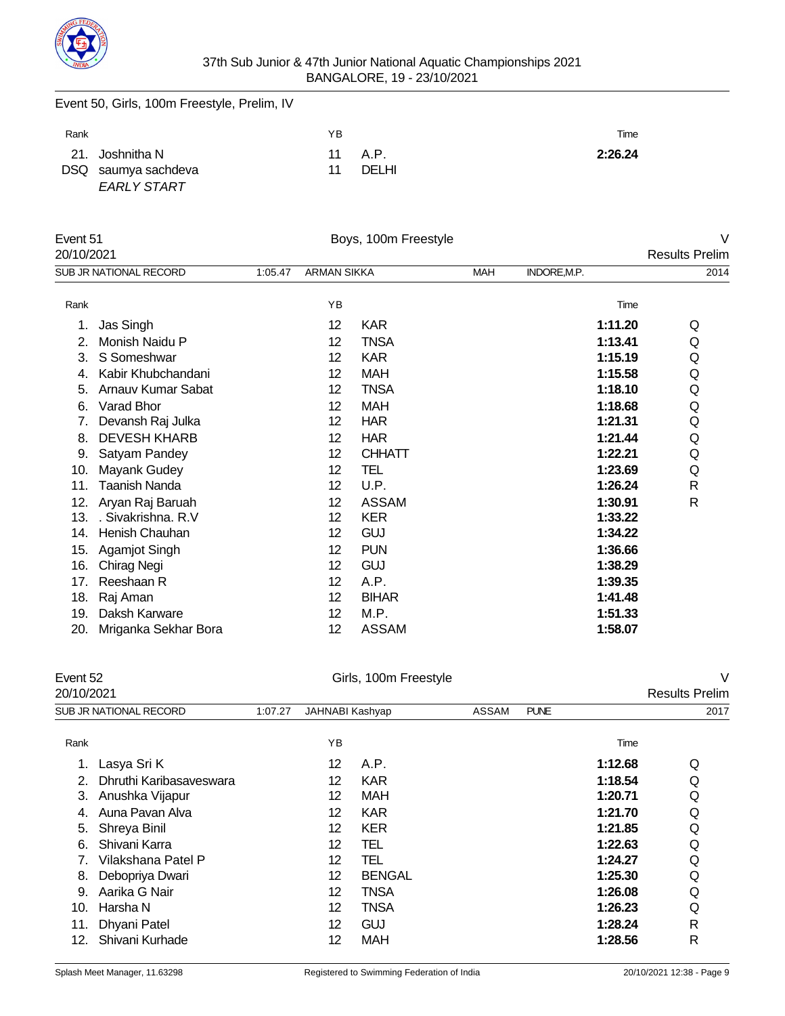

Event 50, Girls, 100m Freestyle, Prelim, IV

| Rank |                                                              | ΥB |                   | Time    |
|------|--------------------------------------------------------------|----|-------------------|---------|
|      | 21. Joshnitha N<br>DSQ saumya sachdeva<br><b>EARLY START</b> | 11 | 11 A.P.<br>DEI HI | 2:26.24 |

| Event 51   |                        |         |                    | Boys, 100m Freestyle |            |              | V                     |
|------------|------------------------|---------|--------------------|----------------------|------------|--------------|-----------------------|
| 20/10/2021 |                        |         |                    |                      |            |              | <b>Results Prelim</b> |
|            | SUB JR NATIONAL RECORD | 1:05.47 | <b>ARMAN SIKKA</b> |                      | <b>MAH</b> | INDORE, M.P. | 2014                  |
| Rank       |                        |         | YB                 |                      |            | Time         |                       |
| 1.         | Jas Singh              |         | 12                 | <b>KAR</b>           |            | 1:11.20      | Q                     |
| 2.         | Monish Naidu P         |         | 12                 | <b>TNSA</b>          |            | 1:13.41      | Q                     |
| 3.         | S Someshwar            |         | 12                 | <b>KAR</b>           |            | 1:15.19      | Q                     |
| 4.         | Kabir Khubchandani     |         | 12                 | MAH                  |            | 1:15.58      | Q                     |
| 5.         | Arnauv Kumar Sabat     |         | 12                 | <b>TNSA</b>          |            | 1:18.10      | Q                     |
| 6.         | Varad Bhor             |         | 12                 | <b>MAH</b>           |            | 1:18.68      | Q                     |
| 7.         | Devansh Raj Julka      |         | 12                 | <b>HAR</b>           |            | 1:21.31      | Q                     |
| 8.         | <b>DEVESH KHARB</b>    |         | 12                 | <b>HAR</b>           |            | 1:21.44      | Q                     |
| 9.         | Satyam Pandey          |         | 12                 | <b>CHHATT</b>        |            | 1:22.21      | Q                     |
| 10.        | Mayank Gudey           |         | 12                 | TEL                  |            | 1:23.69      | Q                     |
| 11.        | Taanish Nanda          |         | 12                 | U.P.                 |            | 1:26.24      | R                     |
| 12.        | Aryan Raj Baruah       |         | 12                 | <b>ASSAM</b>         |            | 1:30.91      | R                     |
| 13.        | . Sivakrishna. R.V     |         | 12                 | <b>KER</b>           |            | 1:33.22      |                       |
| 14.        | Henish Chauhan         |         | 12                 | <b>GUJ</b>           |            | 1:34.22      |                       |
| 15.        | Agamjot Singh          |         | 12                 | <b>PUN</b>           |            | 1:36.66      |                       |
| 16.        | Chirag Negi            |         | 12                 | <b>GUJ</b>           |            | 1:38.29      |                       |
| 17.        | Reeshaan R             |         | 12                 | A.P.                 |            | 1:39.35      |                       |
| 18.        | Raj Aman               |         | 12                 | <b>BIHAR</b>         |            | 1:41.48      |                       |
| 19.        | Daksh Karware          |         | 12                 | M.P.                 |            | 1:51.33      |                       |
| 20.        | Mriganka Sekhar Bora   |         | 12                 | <b>ASSAM</b>         |            | 1:58.07      |                       |

| Event 52 |
|----------|
|----------|

| Event 52<br>20/10/2021 |                         | Girls, 100m Freestyle |                 |               |       |             |                       | V    |
|------------------------|-------------------------|-----------------------|-----------------|---------------|-------|-------------|-----------------------|------|
|                        |                         |                       |                 |               |       |             | <b>Results Prelim</b> |      |
|                        | SUB JR NATIONAL RECORD  | 1:07.27               | JAHNABI Kashyap |               | ASSAM | <b>PUNE</b> |                       | 2017 |
| Rank                   |                         |                       | YB              |               |       |             | Time                  |      |
|                        | Lasya Sri K             |                       | 12              | A.P.          |       |             | 1:12.68               | Q    |
|                        | Dhruthi Karibasaveswara |                       | 12              | <b>KAR</b>    |       |             | 1:18.54               | Q    |
| З.                     | Anushka Vijapur         |                       | 12              | <b>MAH</b>    |       |             | 1:20.71               | Q    |
| 4.                     | Auna Pavan Alva         |                       | 12              | <b>KAR</b>    |       |             | 1:21.70               | Q    |
| 5.                     | Shreya Binil            |                       | 12              | <b>KER</b>    |       |             | 1:21.85               | Q    |
| 6.                     | Shivani Karra           |                       | 12              | TEL           |       |             | 1:22.63               | Q    |
|                        | Vilakshana Patel P      |                       | 12              | TEL           |       |             | 1:24.27               | Q    |
| 8.                     | Debopriya Dwari         |                       | 12              | <b>BENGAL</b> |       |             | 1:25.30               | Q    |
| 9.                     | Aarika G Nair           |                       | 12              | <b>TNSA</b>   |       |             | 1:26.08               | Q    |
| 10.                    | Harsha N                |                       | 12              | <b>TNSA</b>   |       |             | 1:26.23               | Q    |
| 11.                    | Dhyani Patel            |                       | 12              | <b>GUJ</b>    |       |             | 1:28.24               | R    |
| 12.                    | Shivani Kurhade         |                       | 12              | <b>MAH</b>    |       |             | 1:28.56               | R    |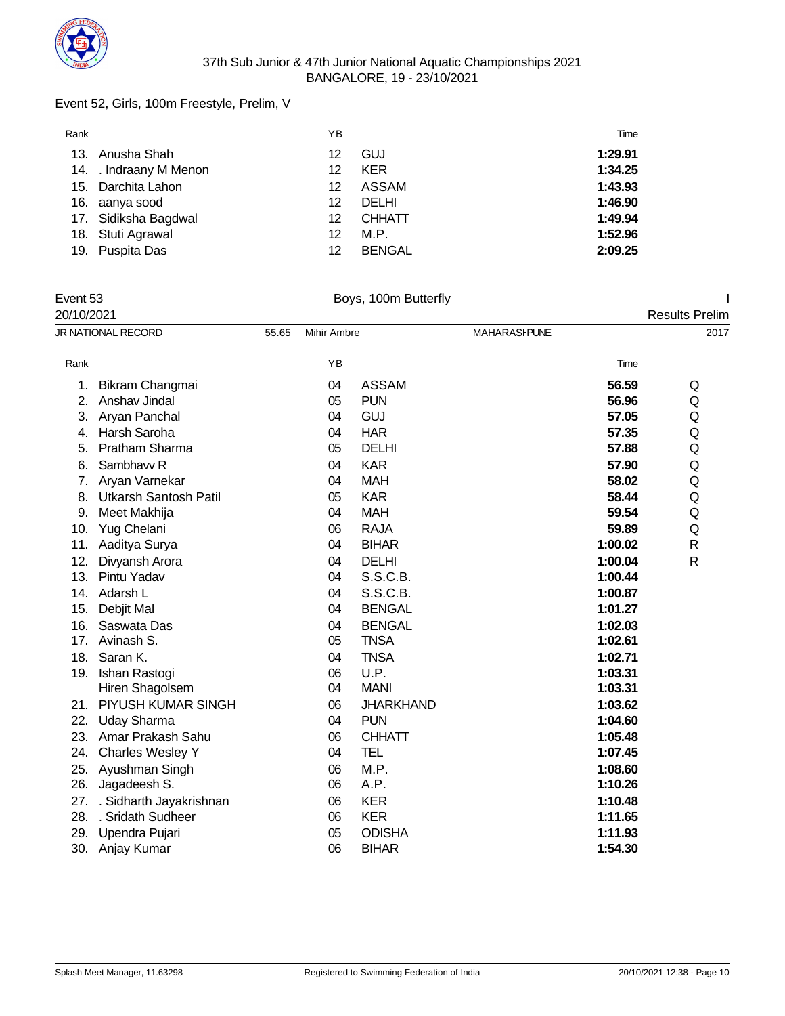

### Event 52, Girls, 100m Freestyle, Prelim, V

| Rank |                        | ΥB |               | Time    |
|------|------------------------|----|---------------|---------|
|      | 13. Anusha Shah        | 12 | <b>GUJ</b>    | 1:29.91 |
|      | 14. . Indraany M Menon | 12 | <b>KER</b>    | 1:34.25 |
|      | 15. Darchita Lahon     | 12 | <b>ASSAM</b>  | 1:43.93 |
|      | 16. aanya sood         | 12 | <b>DELHI</b>  | 1:46.90 |
|      | 17. Sidiksha Bagdwal   | 12 | <b>CHHATT</b> | 1:49.94 |
|      | 18. Stuti Agrawal      | 12 | M.P.          | 1:52.96 |
|      | 19. Puspita Das        | 12 | <b>BENGAL</b> | 2:09.25 |

| Event 53<br>20/10/2021 |                              | Boys, 100m Butterfly |             |                  |                     |                       |              |
|------------------------|------------------------------|----------------------|-------------|------------------|---------------------|-----------------------|--------------|
|                        |                              |                      |             |                  |                     | <b>Results Prelim</b> |              |
|                        | JR NATIONAL RECORD           | 55.65                | Mihir Ambre |                  | <b>MAHARASHPUNE</b> |                       | 2017         |
| Rank                   |                              |                      | YB          |                  |                     | Time                  |              |
| 1.                     | Bikram Changmai              |                      | 04          | <b>ASSAM</b>     |                     | 56.59                 | Q            |
| 2.                     | Anshav Jindal                |                      | 05          | <b>PUN</b>       |                     | 56.96                 | Q            |
| 3.                     | Aryan Panchal                |                      | 04          | GUJ              |                     | 57.05                 | Q            |
| 4.                     | Harsh Saroha                 |                      | 04          | <b>HAR</b>       |                     | 57.35                 | Q            |
| 5.                     | <b>Pratham Sharma</b>        |                      | 05          | <b>DELHI</b>     |                     | 57.88                 | Q            |
| 6.                     | Sambhavy R                   |                      | 04          | <b>KAR</b>       |                     | 57.90                 | Q            |
| 7.                     | Aryan Varnekar               |                      | 04          | <b>MAH</b>       |                     | 58.02                 | Q            |
| 8.                     | <b>Utkarsh Santosh Patil</b> |                      | 05          | <b>KAR</b>       |                     | 58.44                 | Q            |
| 9.                     | Meet Makhija                 |                      | 04          | <b>MAH</b>       |                     | 59.54                 | Q            |
| 10.                    | Yug Chelani                  |                      | 06          | <b>RAJA</b>      |                     | 59.89                 | Q            |
| 11.                    | Aaditya Surya                |                      | 04          | <b>BIHAR</b>     |                     | 1:00.02               | R            |
| 12.                    | Divyansh Arora               |                      | 04          | <b>DELHI</b>     |                     | 1:00.04               | $\mathsf{R}$ |
| 13.                    | Pintu Yadav                  |                      | 04          | S.S.C.B.         |                     | 1:00.44               |              |
| 14.                    | Adarsh L                     |                      | 04          | S.S.C.B.         |                     | 1:00.87               |              |
| 15.                    | Debjit Mal                   |                      | 04          | <b>BENGAL</b>    |                     | 1:01.27               |              |
| 16.                    | Saswata Das                  |                      | 04          | <b>BENGAL</b>    |                     | 1:02.03               |              |
| 17.                    | Avinash S.                   |                      | 05          | <b>TNSA</b>      |                     | 1:02.61               |              |
| 18.                    | Saran K.                     |                      | 04          | <b>TNSA</b>      |                     | 1:02.71               |              |
|                        | 19. Ishan Rastogi            |                      | 06          | U.P.             |                     | 1:03.31               |              |
|                        | Hiren Shagolsem              |                      | 04          | <b>MANI</b>      |                     | 1:03.31               |              |
| 21.                    | PIYUSH KUMAR SINGH           |                      | 06          | <b>JHARKHAND</b> |                     | 1:03.62               |              |
| 22.                    | <b>Uday Sharma</b>           |                      | 04          | <b>PUN</b>       |                     | 1:04.60               |              |
| 23.                    | Amar Prakash Sahu            |                      | 06          | <b>CHHATT</b>    |                     | 1:05.48               |              |
| 24.                    | <b>Charles Wesley Y</b>      |                      | 04          | <b>TEL</b>       |                     | 1:07.45               |              |
| 25.                    | Ayushman Singh               |                      | 06          | M.P.             |                     | 1:08.60               |              |
| 26.                    | Jagadeesh S.                 |                      | 06          | A.P.             |                     | 1:10.26               |              |
| 27.                    | . Sidharth Jayakrishnan      |                      | 06          | <b>KER</b>       |                     | 1:10.48               |              |
| 28.                    | . Sridath Sudheer            |                      | 06          | <b>KER</b>       |                     | 1:11.65               |              |
| 29.                    | Upendra Pujari               |                      | 05          | <b>ODISHA</b>    |                     | 1:11.93               |              |
|                        | 30. Anjay Kumar              |                      | 06          | <b>BIHAR</b>     |                     | 1:54.30               |              |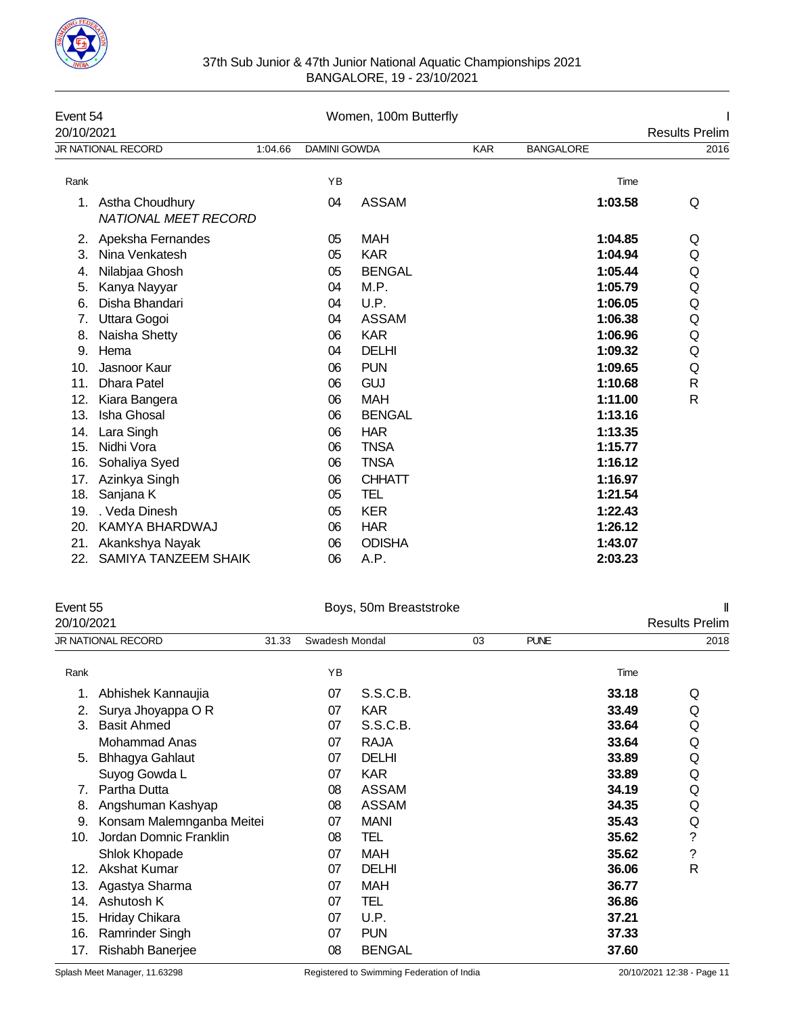

### 37th Sub Junior & 47th Junior National Aquatic Championships 2021 BANGALORE, 19 - 23/10/2021

| Event 54<br>20/10/2021 |                                                |         | Women, 100m Butterfly |               |            |                  |      |  |
|------------------------|------------------------------------------------|---------|-----------------------|---------------|------------|------------------|------|--|
|                        | <b>JR NATIONAL RECORD</b>                      | 1:04.66 | <b>DAMINI GOWDA</b>   |               | <b>KAR</b> | <b>BANGALORE</b> | 2016 |  |
| Rank                   |                                                |         | YB                    |               |            | Time             |      |  |
| 1.                     | Astha Choudhury<br><b>NATIONAL MEET RECORD</b> |         | 04                    | <b>ASSAM</b>  |            | 1:03.58          | Q    |  |
| 2.                     | Apeksha Fernandes                              |         | 05                    | <b>MAH</b>    |            | 1:04.85          | Q    |  |
| 3.                     | Nina Venkatesh                                 |         | 05                    | <b>KAR</b>    |            | 1:04.94          | Q    |  |
| 4.                     | Nilabjaa Ghosh                                 |         | 05                    | <b>BENGAL</b> |            | 1:05.44          | Q    |  |
| 5.                     | Kanya Nayyar                                   |         | 04                    | M.P.          |            | 1:05.79          | Q    |  |
| 6.                     | Disha Bhandari                                 |         | 04                    | U.P.          |            | 1:06.05          | Q    |  |
| 7.                     | Uttara Gogoi                                   |         | 04                    | <b>ASSAM</b>  |            | 1:06.38          | Q    |  |
| 8.                     | Naisha Shetty                                  |         | 06                    | <b>KAR</b>    |            | 1:06.96          | Q    |  |
| 9.                     | Hema                                           |         | 04                    | <b>DELHI</b>  |            | 1:09.32          | Q    |  |
| 10.                    | Jasnoor Kaur                                   |         | 06                    | <b>PUN</b>    |            | 1:09.65          | Q    |  |
| 11.                    | <b>Dhara Patel</b>                             |         | 06                    | <b>GUJ</b>    |            | 1:10.68          | R    |  |
| 12.                    | Kiara Bangera                                  |         | 06                    | <b>MAH</b>    |            | 1:11.00          | R    |  |
| 13.                    | Isha Ghosal                                    |         | 06                    | <b>BENGAL</b> |            | 1:13.16          |      |  |
| 14.                    | Lara Singh                                     |         | 06                    | <b>HAR</b>    |            | 1:13.35          |      |  |
| 15.                    | Nidhi Vora                                     |         | 06                    | <b>TNSA</b>   |            | 1:15.77          |      |  |
| 16.                    | Sohaliya Syed                                  |         | 06                    | <b>TNSA</b>   |            | 1:16.12          |      |  |
| 17.                    | Azinkya Singh                                  |         | 06                    | <b>CHHATT</b> |            | 1:16.97          |      |  |
| 18.                    | Sanjana K                                      |         | 05                    | TEL           |            | 1:21.54          |      |  |
| 19.                    | . Veda Dinesh                                  |         | 05                    | <b>KER</b>    |            | 1:22.43          |      |  |
| 20.                    | KAMYA BHARDWAJ                                 |         | 06                    | <b>HAR</b>    |            | 1:26.12          |      |  |
| 21.                    | Akankshya Nayak                                |         | 06                    | <b>ODISHA</b> |            | 1:43.07          |      |  |
| 22.                    | <b>SAMIYA TANZEEM SHAIK</b>                    |         | 06                    | A.P.          |            | 2:03.23          |      |  |

| Event 55   |                           |       |                | Boys, 50m Breaststroke |    |             |       |                       |  |
|------------|---------------------------|-------|----------------|------------------------|----|-------------|-------|-----------------------|--|
| 20/10/2021 |                           |       |                |                        |    |             |       | <b>Results Prelim</b> |  |
|            | JR NATIONAL RECORD        | 31.33 | Swadesh Mondal |                        | 03 | <b>PUNE</b> |       | 2018                  |  |
| Rank       |                           |       | YB             |                        |    |             | Time  |                       |  |
| 1.         | Abhishek Kannaujia        |       | 07             | S.S.C.B.               |    |             | 33.18 | Q                     |  |
| 2.         | Surya Jhoyappa O R        |       | 07             | <b>KAR</b>             |    |             | 33.49 | Q                     |  |
| 3.         | <b>Basit Ahmed</b>        |       | 07             | S.S.C.B.               |    |             | 33.64 | Q                     |  |
|            | Mohammad Anas             |       | 07             | <b>RAJA</b>            |    |             | 33.64 | Q                     |  |
| 5.         | <b>Bhhagya Gahlaut</b>    |       | 07             | DELHI                  |    |             | 33.89 | Q                     |  |
|            | Suyog Gowda L             |       | 07             | <b>KAR</b>             |    |             | 33.89 | Q                     |  |
| 7.         | Partha Dutta              |       | 08             | <b>ASSAM</b>           |    |             | 34.19 | Q                     |  |
| 8.         | Angshuman Kashyap         |       | 08             | <b>ASSAM</b>           |    |             | 34.35 | Q                     |  |
| 9.         | Konsam Malemnganba Meitei |       | 07             | <b>MANI</b>            |    |             | 35.43 | Q                     |  |
| 10.        | Jordan Domnic Franklin    |       | 08             | TEL                    |    |             | 35.62 | $\ddot{\text{?}}$     |  |
|            | Shlok Khopade             |       | 07             | MAH                    |    |             | 35.62 | $\ddot{\phantom{0}}$  |  |
| 12.        | <b>Akshat Kumar</b>       |       | 07             | <b>DELHI</b>           |    |             | 36.06 | $\mathsf{R}$          |  |
| 13.        | Agastya Sharma            |       | 07             | MAH                    |    |             | 36.77 |                       |  |
| 14.        | Ashutosh K                |       | 07             | TEL                    |    |             | 36.86 |                       |  |
| 15.        | Hriday Chikara            |       | 07             | U.P.                   |    |             | 37.21 |                       |  |
| 16.        | Ramrinder Singh           |       | 07             | <b>PUN</b>             |    |             | 37.33 |                       |  |
| 17.        | Rishabh Banerjee          |       | 08             | <b>BENGAL</b>          |    |             | 37.60 |                       |  |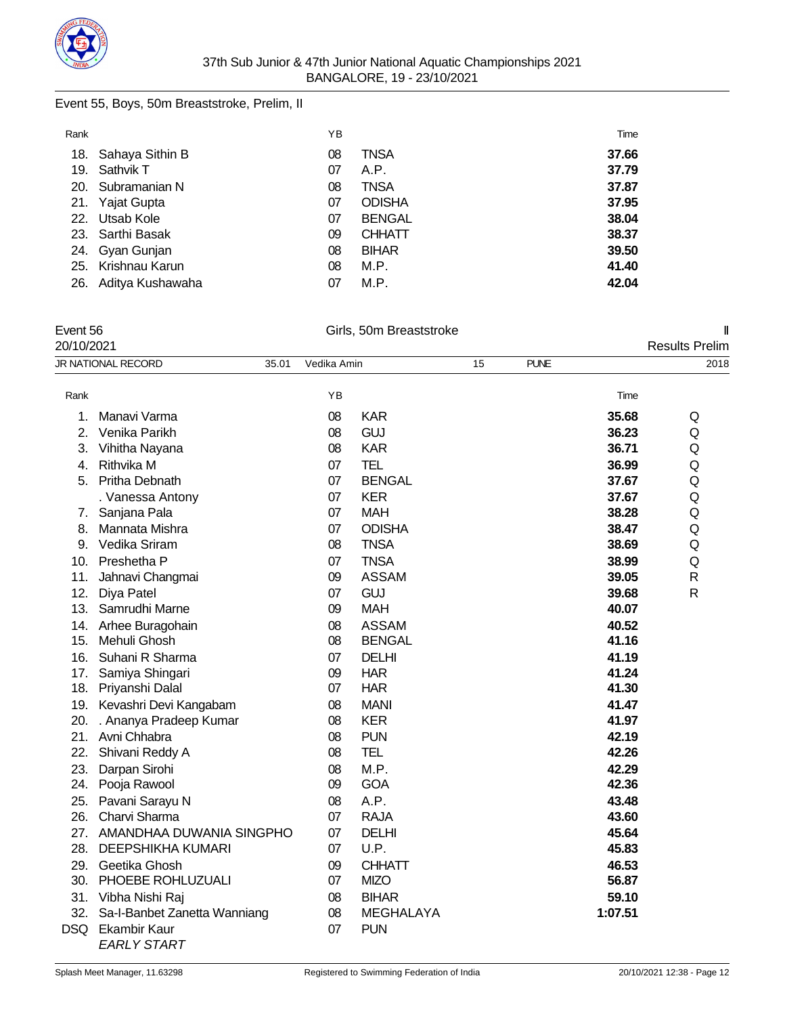

### Event 55, Boys, 50m Breaststroke, Prelim, II

| Rank |                     | ΥB |               | Time  |
|------|---------------------|----|---------------|-------|
|      | 18. Sahaya Sithin B | 08 | TNSA          | 37.66 |
| 19.  | Sathvik T           | 07 | A.P.          | 37.79 |
|      | 20. Subramanian N   | 08 | TNSA          | 37.87 |
|      | 21. Yajat Gupta     | 07 | <b>ODISHA</b> | 37.95 |
|      | 22. Utsab Kole      | 07 | <b>BENGAL</b> | 38.04 |
|      | 23. Sarthi Basak    | 09 | <b>CHHATT</b> | 38.37 |
|      | 24. Gyan Gunjan     | 08 | <b>BIHAR</b>  | 39.50 |
|      | 25. Krishnau Karun  | 08 | M.P.          | 41.40 |
| 26.  | Aditya Kushawaha    | 07 | M.P.          | 42.04 |

Event 56 Girls, 50m Breaststroke II

| 20/10/2021       |                                           |       |             |                  |    |             |         | <b>Results Prelim</b> |
|------------------|-------------------------------------------|-------|-------------|------------------|----|-------------|---------|-----------------------|
|                  | JR NATIONAL RECORD                        | 35.01 | Vedika Amin |                  | 15 | <b>PUNE</b> |         | 2018                  |
| Rank             |                                           |       | YB          |                  |    |             | Time    |                       |
| 1.               | Manavi Varma                              |       | 08          | <b>KAR</b>       |    |             | 35.68   | Q                     |
| $\overline{2}$ . | Venika Parikh                             |       | 08          | <b>GUJ</b>       |    |             | 36.23   | Q                     |
| 3.               | Vihitha Nayana                            |       | 08          | <b>KAR</b>       |    |             | 36.71   | Q                     |
| 4.               | Rithvika M                                |       | 07          | <b>TEL</b>       |    |             | 36.99   | Q                     |
| 5.               | Pritha Debnath                            |       | 07          | <b>BENGAL</b>    |    |             | 37.67   | Q                     |
|                  | . Vanessa Antony                          |       | 07          | <b>KER</b>       |    |             | 37.67   | Q                     |
|                  | 7. Sanjana Pala                           |       | 07          | <b>MAH</b>       |    |             | 38.28   | Q                     |
| 8.               | Mannata Mishra                            |       | 07          | <b>ODISHA</b>    |    |             | 38.47   | Q                     |
|                  | 9. Vedika Sriram                          |       | 08          | <b>TNSA</b>      |    |             | 38.69   | Q                     |
|                  | 10. Preshetha P                           |       | 07          | <b>TNSA</b>      |    |             | 38.99   | Q                     |
| 11.              | Jahnavi Changmai                          |       | 09          | <b>ASSAM</b>     |    |             | 39.05   | $\mathsf{R}$          |
| 12.              | Diya Patel                                |       | 07          | <b>GUJ</b>       |    |             | 39.68   | $\mathsf{R}$          |
|                  | 13. Samrudhi Marne                        |       | 09          | <b>MAH</b>       |    |             | 40.07   |                       |
|                  | 14. Arhee Buragohain                      |       | 08          | <b>ASSAM</b>     |    |             | 40.52   |                       |
|                  | 15. Mehuli Ghosh                          |       | 08          | <b>BENGAL</b>    |    |             | 41.16   |                       |
|                  | 16. Suhani R Sharma                       |       | 07          | <b>DELHI</b>     |    |             | 41.19   |                       |
| 17.              | Samiya Shingari                           |       | 09          | <b>HAR</b>       |    |             | 41.24   |                       |
|                  | 18. Priyanshi Dalal                       |       | 07          | <b>HAR</b>       |    |             | 41.30   |                       |
|                  | 19. Kevashri Devi Kangabam                |       | 08          | <b>MANI</b>      |    |             | 41.47   |                       |
|                  | 20. . Ananya Pradeep Kumar                |       | 08          | <b>KER</b>       |    |             | 41.97   |                       |
|                  | 21. Avni Chhabra                          |       | 08          | <b>PUN</b>       |    |             | 42.19   |                       |
| 22.              | Shivani Reddy A                           |       | 08          | <b>TEL</b>       |    |             | 42.26   |                       |
| 23.              | Darpan Sirohi                             |       | 08          | M.P.             |    |             | 42.29   |                       |
| 24.              | Pooja Rawool                              |       | 09          | <b>GOA</b>       |    |             | 42.36   |                       |
| 25.              | Pavani Sarayu N                           |       | 08          | A.P.             |    |             | 43.48   |                       |
| 26.              | Charvi Sharma                             |       | 07          | <b>RAJA</b>      |    |             | 43.60   |                       |
| 27.              | AMANDHAA DUWANIA SINGPHO                  |       | 07          | <b>DELHI</b>     |    |             | 45.64   |                       |
| 28.              | <b>DEEPSHIKHA KUMARI</b>                  |       | 07          | U.P.             |    |             | 45.83   |                       |
| 29.              | Geetika Ghosh                             |       | 09          | <b>CHHATT</b>    |    |             | 46.53   |                       |
|                  | 30. PHOEBE ROHLUZUALI                     |       | 07          | <b>MIZO</b>      |    |             | 56.87   |                       |
|                  | 31. Vibha Nishi Raj                       |       | 08          | <b>BIHAR</b>     |    |             | 59.10   |                       |
| 32.              | Sa-I-Banbet Zanetta Wanniang              |       | 08          | <b>MEGHALAYA</b> |    |             | 1:07.51 |                       |
| DSQ              | <b>Ekambir Kaur</b><br><b>EARLY START</b> |       | 07          | <b>PUN</b>       |    |             |         |                       |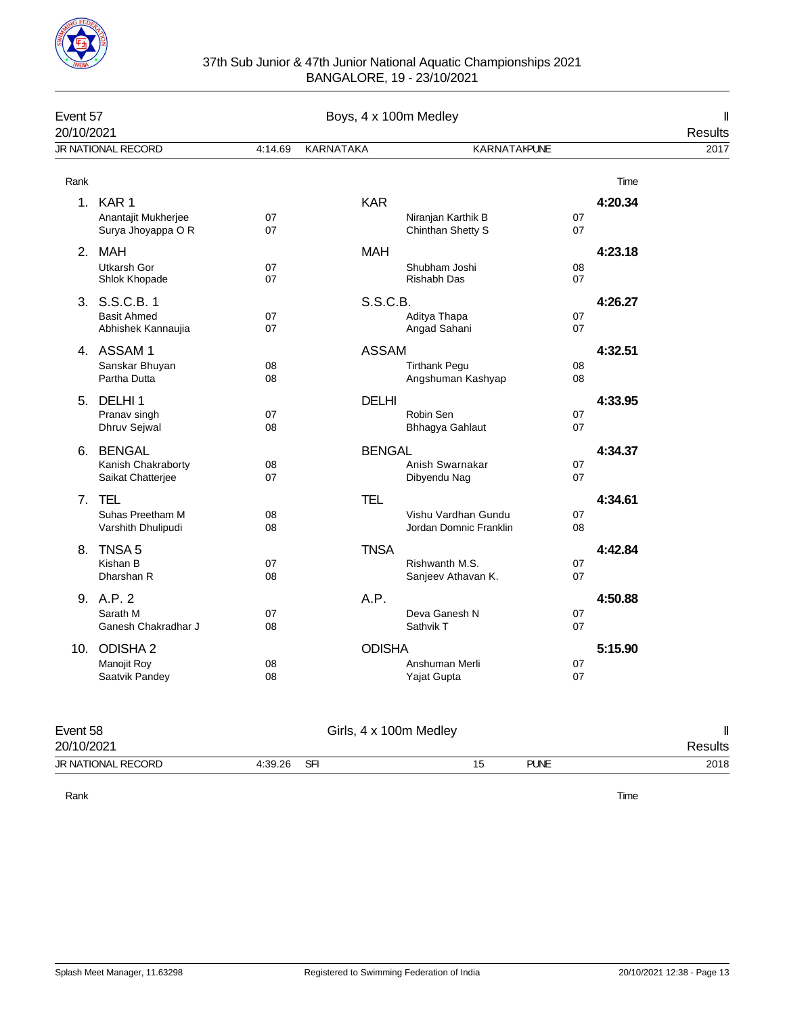

| Event 57<br>20/10/2021 |                                                           | Boys, 4 x 100m Medley |                        |                                               |          |         |                 |  |
|------------------------|-----------------------------------------------------------|-----------------------|------------------------|-----------------------------------------------|----------|---------|-----------------|--|
|                        | JR NATIONAL RECORD                                        | 4:14.69               | KARNATAKA              | <b>KARNATAKPUNE</b>                           |          |         | Results<br>2017 |  |
| Rank                   |                                                           |                       |                        |                                               |          | Time    |                 |  |
|                        | 1. KAR 1<br>Anantajit Mukherjee<br>Surya Jhoyappa O R     | 07<br>07              | <b>KAR</b>             | Niranjan Karthik B<br>Chinthan Shetty S       | 07<br>07 | 4:20.34 |                 |  |
|                        | 2. MAH<br>Utkarsh Gor<br>Shlok Khopade                    | 07<br>07              | <b>MAH</b>             | Shubham Joshi<br>Rishabh Das                  | 08<br>07 | 4:23.18 |                 |  |
|                        | 3. S.S.C.B. 1<br><b>Basit Ahmed</b><br>Abhishek Kannaujia | 07<br>07              | S.S.C.B.               | Aditya Thapa<br>Angad Sahani                  | 07<br>07 | 4:26.27 |                 |  |
|                        | 4. ASSAM 1<br>Sanskar Bhuyan<br>Partha Dutta              | 08<br>08              | <b>ASSAM</b>           | <b>Tirthank Pegu</b><br>Angshuman Kashyap     | 08<br>08 | 4:32.51 |                 |  |
|                        | 5. DELHI 1<br>Pranav singh<br>Dhruv Sejwal                | 07<br>08              | <b>DELHI</b>           | Robin Sen<br>Bhhagya Gahlaut                  | 07<br>07 | 4:33.95 |                 |  |
|                        | 6. BENGAL<br>Kanish Chakraborty<br>Saikat Chatterjee      | 08<br>07              | <b>BENGAL</b>          | Anish Swarnakar<br>Dibyendu Nag               | 07<br>07 | 4:34.37 |                 |  |
|                        | 7. TEL<br>Suhas Preetham M<br>Varshith Dhulipudi          | 08<br>08              | <b>TEL</b>             | Vishu Vardhan Gundu<br>Jordan Domnic Franklin | 07<br>08 | 4:34.61 |                 |  |
|                        | 8. TNSA 5<br>Kishan B<br>Dharshan R                       | 07<br>08              | <b>TNSA</b>            | Rishwanth M.S.<br>Sanjeev Athavan K.          | 07<br>07 | 4:42.84 |                 |  |
|                        | 9. A.P. 2<br>Sarath M<br>Ganesh Chakradhar J              | 07<br>08              | A.P.                   | Deva Ganesh N<br>Sathvik T                    | 07<br>07 | 4:50.88 |                 |  |
|                        | 10. ODISHA 2<br>Manojit Roy<br>Saatvik Pandey             | 08<br>08              | <b>ODISHA</b>          | Anshuman Merli<br>Yajat Gupta                 | 07<br>07 | 5:15.90 |                 |  |
| Event 58<br>20/10/2021 |                                                           |                       | Girls, 4 x 100m Medley |                                               |          |         | Ш<br>Results    |  |

JR NATIONAL RECORD 4:39.26 SFI 15 PUNE 2018

Rank Time